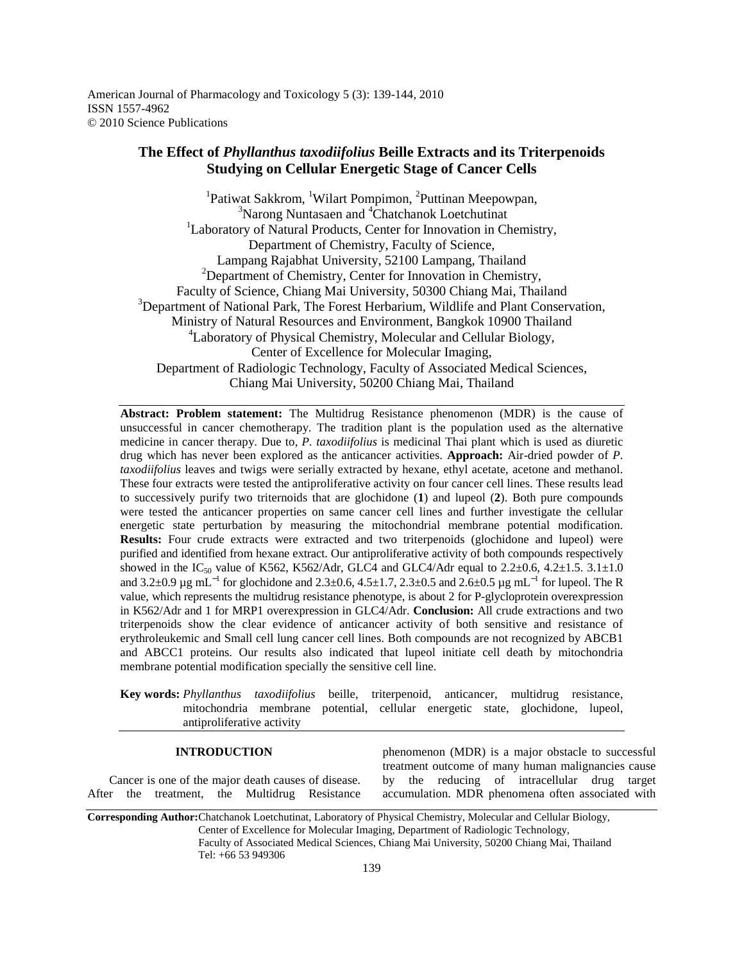American Journal of Pharmacology and Toxicology 5 (3): 139-144, 2010 ISSN 1557-4962 © 2010 Science Publications

# **The Effect of** *Phyllanthus taxodiifolius* **Beille Extracts and its Triterpenoids Studying on Cellular Energetic Stage of Cancer Cells**

<sup>1</sup>Patiwat Sakkrom, <sup>1</sup>Wilart Pompimon, <sup>2</sup>Puttinan Meepowpan,  $3$ Narong Nuntasaen and  $4$ Chatchanok Loetchutinat <sup>1</sup>Laboratory of Natural Products, Center for Innovation in Chemistry, Department of Chemistry, Faculty of Science, Lampang Rajabhat University, 52100 Lampang, Thailand  $2$ Department of Chemistry, Center for Innovation in Chemistry, Faculty of Science, Chiang Mai University, 50300 Chiang Mai, Thailand <sup>3</sup>Department of National Park, The Forest Herbarium, Wildlife and Plant Conservation, Ministry of Natural Resources and Environment, Bangkok 10900 Thailand <sup>4</sup>Laboratory of Physical Chemistry, Molecular and Cellular Biology, Center of Excellence for Molecular Imaging, Department of Radiologic Technology, Faculty of Associated Medical Sciences, Chiang Mai University, 50200 Chiang Mai, Thailand

**Abstract: Problem statement:** The Multidrug Resistance phenomenon (MDR) is the cause of unsuccessful in cancer chemotherapy. The tradition plant is the population used as the alternative medicine in cancer therapy. Due to, *P. taxodiifolius* is medicinal Thai plant which is used as diuretic drug which has never been explored as the anticancer activities. **Approach:** Air-dried powder of *P. taxodiifolius* leaves and twigs were serially extracted by hexane, ethyl acetate, acetone and methanol. These four extracts were tested the antiproliferative activity on four cancer cell lines. These results lead to successively purify two triternoids that are glochidone (**1**) and lupeol (**2**). Both pure compounds were tested the anticancer properties on same cancer cell lines and further investigate the cellular energetic state perturbation by measuring the mitochondrial membrane potential modification. **Results:** Four crude extracts were extracted and two triterpenoids (glochidone and lupeol) were purified and identified from hexane extract. Our antiproliferative activity of both compounds respectively showed in the IC<sub>50</sub> value of K562, K562/Adr, GLC4 and GLC4/Adr equal to  $2.2\pm0.6$ ,  $4.2\pm1.5$ .  $3.1\pm1.0$ and 3.2±0.9 µg mL<sup>-1</sup> for glochidone and 2.3±0.6, 4.5±1.7, 2.3±0.5 and 2.6±0.5 µg mL<sup>-1</sup> for lupeol. The R value, which represents the multidrug resistance phenotype, is about 2 for P-glycloprotein overexpression in K562/Adr and 1 for MRP1 overexpression in GLC4/Adr. **Conclusion:** All crude extractions and two triterpenoids show the clear evidence of anticancer activity of both sensitive and resistance of erythroleukemic and Small cell lung cancer cell lines. Both compounds are not recognized by ABCB1 and ABCC1 proteins. Our results also indicated that lupeol initiate cell death by mitochondria membrane potential modification specially the sensitive cell line.

**Key words:** *Phyllanthus taxodiifolius* beille, triterpenoid, anticancer, multidrug resistance, mitochondria membrane potential, cellular energetic state, glochidone, lupeol, antiproliferative activity

## **INTRODUCTION**

 Cancer is one of the major death causes of disease. After the treatment, the Multidrug Resistance

phenomenon (MDR) is a major obstacle to successful treatment outcome of many human malignancies cause by the reducing of intracellular drug target accumulation. MDR phenomena often associated with

**Corresponding Author:**Chatchanok Loetchutinat, Laboratory of Physical Chemistry, Molecular and Cellular Biology, Center of Excellence for Molecular Imaging, Department of Radiologic Technology, Faculty of Associated Medical Sciences, Chiang Mai University, 50200 Chiang Mai, Thailand Tel: +66 53 949306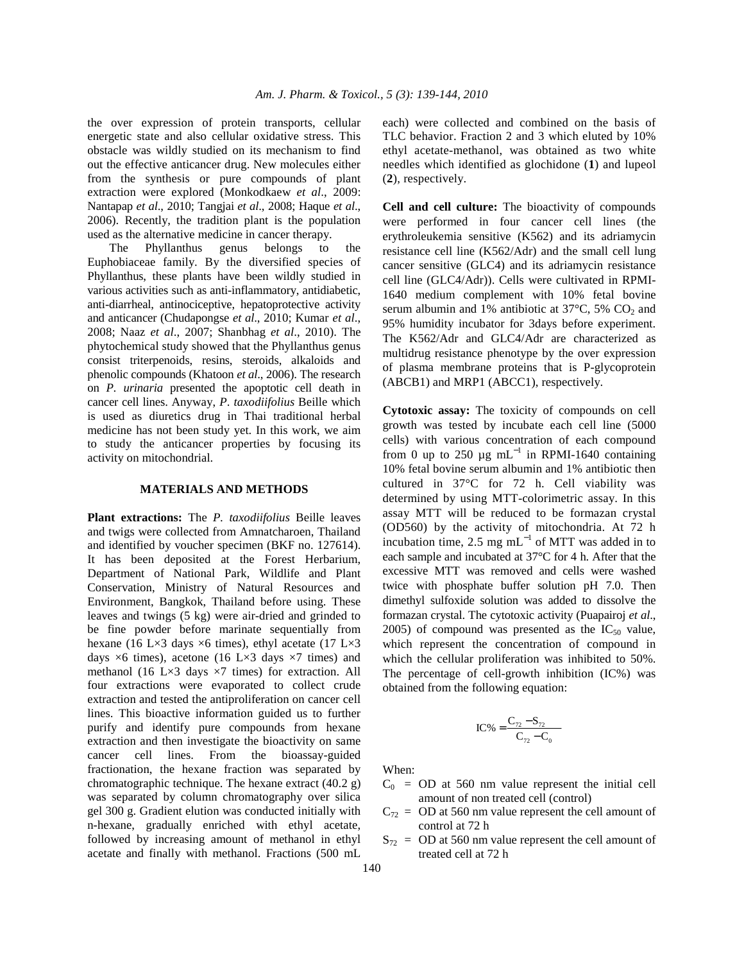the over expression of protein transports, cellular energetic state and also cellular oxidative stress. This obstacle was wildly studied on its mechanism to find out the effective anticancer drug. New molecules either from the synthesis or pure compounds of plant extraction were explored (Monkodkaew *et al*., 2009: Nantapap *et al*., 2010; Tangjai *et al*., 2008; Haque *et al*., 2006). Recently, the tradition plant is the population used as the alternative medicine in cancer therapy.

 The Phyllanthus genus belongs to the Euphobiaceae family. By the diversified species of Phyllanthus, these plants have been wildly studied in various activities such as anti-inflammatory, antidiabetic, anti-diarrheal, antinociceptive, hepatoprotective activity and anticancer (Chudapongse *et al*., 2010; Kumar *et al*., 2008; Naaz *et al*., 2007; Shanbhag *et al*., 2010). The phytochemical study showed that the Phyllanthus genus consist triterpenoids, resins, steroids, alkaloids and phenolic compounds (Khatoon *et al*., 2006). The research on *P. urinaria* presented the apoptotic cell death in cancer cell lines. Anyway, *P*. *taxodiifolius* Beille which is used as diuretics drug in Thai traditional herbal medicine has not been study yet. In this work, we aim to study the anticancer properties by focusing its activity on mitochondrial.

#### **MATERIALS AND METHODS**

**Plant extractions:** The *P. taxodiifolius* Beille leaves and twigs were collected from Amnatcharoen, Thailand and identified by voucher specimen (BKF no. 127614). It has been deposited at the Forest Herbarium, Department of National Park, Wildlife and Plant Conservation, Ministry of Natural Resources and Environment, Bangkok, Thailand before using. These leaves and twings (5 kg) were air-dried and grinded to be fine powder before marinate sequentially from hexane (16 L×3 days  $\times$ 6 times), ethyl acetate (17 L×3 days  $\times$ 6 times), acetone (16 L $\times$ 3 days  $\times$ 7 times) and methanol (16 L $\times$ 3 days  $\times$ 7 times) for extraction. All four extractions were evaporated to collect crude extraction and tested the antiproliferation on cancer cell lines. This bioactive information guided us to further purify and identify pure compounds from hexane extraction and then investigate the bioactivity on same cancer cell lines. From the bioassay-guided fractionation, the hexane fraction was separated by chromatographic technique. The hexane extract (40.2 g) was separated by column chromatography over silica gel 300 g. Gradient elution was conducted initially with n-hexane, gradually enriched with ethyl acetate, followed by increasing amount of methanol in ethyl acetate and finally with methanol. Fractions (500 mL each) were collected and combined on the basis of TLC behavior. Fraction 2 and 3 which eluted by 10% ethyl acetate-methanol, was obtained as two white needles which identified as glochidone (**1**) and lupeol (**2**), respectively.

**Cell and cell culture:** The bioactivity of compounds were performed in four cancer cell lines (the erythroleukemia sensitive (K562) and its adriamycin resistance cell line (K562/Adr) and the small cell lung cancer sensitive (GLC4) and its adriamycin resistance cell line (GLC4/Adr)). Cells were cultivated in RPMI-1640 medium complement with 10% fetal bovine serum albumin and 1% antibiotic at 37 $\degree$ C, 5% CO<sub>2</sub> and 95% humidity incubator for 3days before experiment. The K562/Adr and GLC4/Adr are characterized as multidrug resistance phenotype by the over expression of plasma membrane proteins that is P-glycoprotein (ABCB1) and MRP1 (ABCC1), respectively.

**Cytotoxic assay:** The toxicity of compounds on cell growth was tested by incubate each cell line (5000 cells) with various concentration of each compound from 0 up to 250  $\mu$ g mL<sup>-1</sup> in RPMI-1640 containing 10% fetal bovine serum albumin and 1% antibiotic then cultured in 37°C for 72 h. Cell viability was determined by using MTT-colorimetric assay. In this assay MTT will be reduced to be formazan crystal (OD560) by the activity of mitochondria. At 72 h incubation time, 2.5 mg mL<sup>-1</sup> of MTT was added in to each sample and incubated at 37°C for 4 h. After that the excessive MTT was removed and cells were washed twice with phosphate buffer solution pH 7.0. Then dimethyl sulfoxide solution was added to dissolve the formazan crystal. The cytotoxic activity (Puapairoj *et al*., 2005) of compound was presented as the  $IC_{50}$  value, which represent the concentration of compound in which the cellular proliferation was inhibited to 50%. The percentage of cell-growth inhibition (IC%) was obtained from the following equation:

$$
IC\% = \frac{C_{72} - S_{72}}{C_{72} - C_0}
$$

When:

- $C_0$  = OD at 560 nm value represent the initial cell amount of non treated cell (control)
- $C_{72}$  = OD at 560 nm value represent the cell amount of control at 72 h
- $S_{72}$  = OD at 560 nm value represent the cell amount of treated cell at 72 h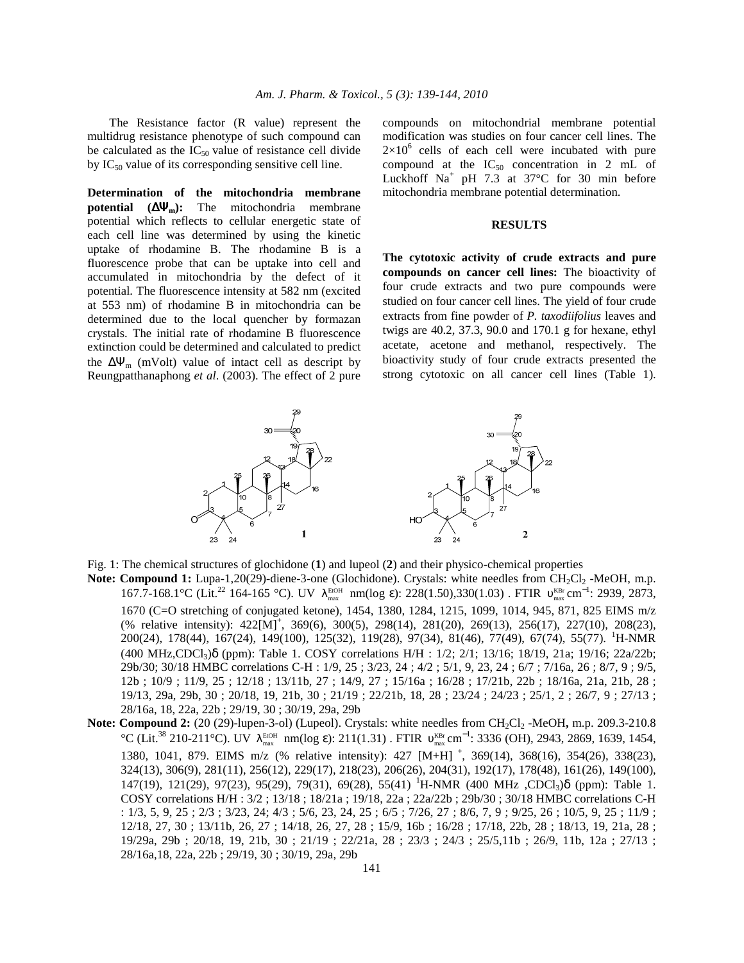The Resistance factor (R value) represent the multidrug resistance phenotype of such compound can be calculated as the  $IC_{50}$  value of resistance cell divide by  $IC_{50}$  value of its corresponding sensitive cell line.

**Determination of the mitochondria membrane potential (**∆Ψ**m):** The mitochondria membrane potential which reflects to cellular energetic state of each cell line was determined by using the kinetic uptake of rhodamine B. The rhodamine B is a fluorescence probe that can be uptake into cell and accumulated in mitochondria by the defect of it potential. The fluorescence intensity at 582 nm (excited at 553 nm) of rhodamine B in mitochondria can be determined due to the local quencher by formazan crystals. The initial rate of rhodamine B fluorescence extinction could be determined and calculated to predict the  $\Delta \Psi_{\rm m}$  (mVolt) value of intact cell as descript by Reungpatthanaphong *et al*. (2003). The effect of 2 pure compounds on mitochondrial membrane potential modification was studies on four cancer cell lines. The  $2\times10^6$  cells of each cell were incubated with pure compound at the  $IC_{50}$  concentration in 2 mL of Luckhoff  $Na^+$  pH 7.3 at 37°C for 30 min before mitochondria membrane potential determination.

#### **RESULTS**

**The cytotoxic activity of crude extracts and pure compounds on cancer cell lines:** The bioactivity of four crude extracts and two pure compounds were studied on four cancer cell lines. The yield of four crude extracts from fine powder of *P. taxodiifolius* leaves and twigs are 40.2, 37.3, 90.0 and 170.1 g for hexane, ethyl acetate, acetone and methanol, respectively. The bioactivity study of four crude extracts presented the strong cytotoxic on all cancer cell lines (Table 1).



Fig. 1: The chemical structures of glochidone (**1**) and lupeol (**2**) and their physico-chemical properties

- Note: Compound 1: Lupa-1,20(29)-diene-3-one (Glochidone). Crystals: white needles from CH<sub>2</sub>Cl<sub>2</sub> -MeOH, m.p. 167.7-168.1°C (Lit.<sup>22</sup> 164-165 °C). UV λ<sup>ειοΗ</sup> nm(log ε): 228(1.50),330(1.03) . FTIR ν<sub>max</sub> cm<sup>-1</sup>: 2939, 2873, 1670 (C=O stretching of conjugated ketone), 1454, 1380, 1284, 1215, 1099, 1014, 945, 871, 825 EIMS m/z (% relative intensity):  $422[M]^+$ ,  $369(6)$ ,  $300(5)$ ,  $298(14)$ ,  $281(20)$ ,  $269(13)$ ,  $256(17)$ ,  $227(10)$ ,  $208(23)$ , 200(24), 178(44), 167(24), 149(100), 125(32), 119(28), 97(34), 81(46), 77(49), 67(74), 55(77). <sup>1</sup>H-NMR (400 MHz,CDCl3)δ (ppm): Table 1. COSY correlations H/H : 1/2; 2/1; 13/16; 18/19, 21a; 19/16; 22a/22b; 29b/30; 30/18 HMBC correlations C-H : 1/9, 25 ; 3/23, 24 ; 4/2 ; 5/1, 9, 23, 24 ; 6/7 ; 7/16a, 26 ; 8/7, 9 ; 9/5, 12b ; 10/9 ; 11/9, 25 ; 12/18 ; 13/11b, 27 ; 14/9, 27 ; 15/16a ; 16/28 ; 17/21b, 22b ; 18/16a, 21a, 21b, 28 ; 19/13, 29a, 29b, 30 ; 20/18, 19, 21b, 30 ; 21/19 ; 22/21b, 18, 28 ; 23/24 ; 24/23 ; 25/1, 2 ; 26/7, 9 ; 27/13 ; 28/16a, 18, 22a, 22b ; 29/19, 30 ; 30/19, 29a, 29b
- **Note: Compound 2:** (20 (29)-lupen-3-ol) (Lupeol). Crystals: white needles from CH<sub>2</sub>Cl<sub>2</sub> -MeOH, m.p. 209.3-210.8 °C (Lit.<sup>38</sup> 210-211°C). UV  $\lambda_{\text{max}}^{\text{EOH}}$  nm(log ε): 211(1.31) . FTIR  $v_{\text{max}}^{\text{KBr}}$  cm<sup>-1</sup>: 3336 (OH), 2943, 2869, 1639, 1454, 1380, 1041, 879. EIMS m/z (% relative intensity): 427 [M+H]<sup>+</sup>, 369(14), 368(16), 354(26), 338(23), 324(13), 306(9), 281(11), 256(12), 229(17), 218(23), 206(26), 204(31), 192(17), 178(48), 161(26), 149(100), 147(19), 121(29), 97(23), 95(29), 79(31), 69(28), 55(41) <sup>1</sup>H-NMR (400 MHz ,CDCl<sub>3</sub>) $\delta$  (ppm): Table 1. COSY correlations H/H : 3/2 ; 13/18 ; 18/21a ; 19/18, 22a ; 22a/22b ; 29b/30 ; 30/18 HMBC correlations C-H : 1/3, 5, 9, 25 ; 2/3 ; 3/23, 24; 4/3 ; 5/6, 23, 24, 25 ; 6/5 ; 7/26, 27 ; 8/6, 7, 9 ; 9/25, 26 ; 10/5, 9, 25 ; 11/9 ; 12/18, 27, 30 ; 13/11b, 26, 27 ; 14/18, 26, 27, 28 ; 15/9, 16b ; 16/28 ; 17/18, 22b, 28 ; 18/13, 19, 21a, 28 ; 19/29a, 29b ; 20/18, 19, 21b, 30 ; 21/19 ; 22/21a, 28 ; 23/3 ; 24/3 ; 25/5,11b ; 26/9, 11b, 12a ; 27/13 ; 28/16a,18, 22a, 22b ; 29/19, 30 ; 30/19, 29a, 29b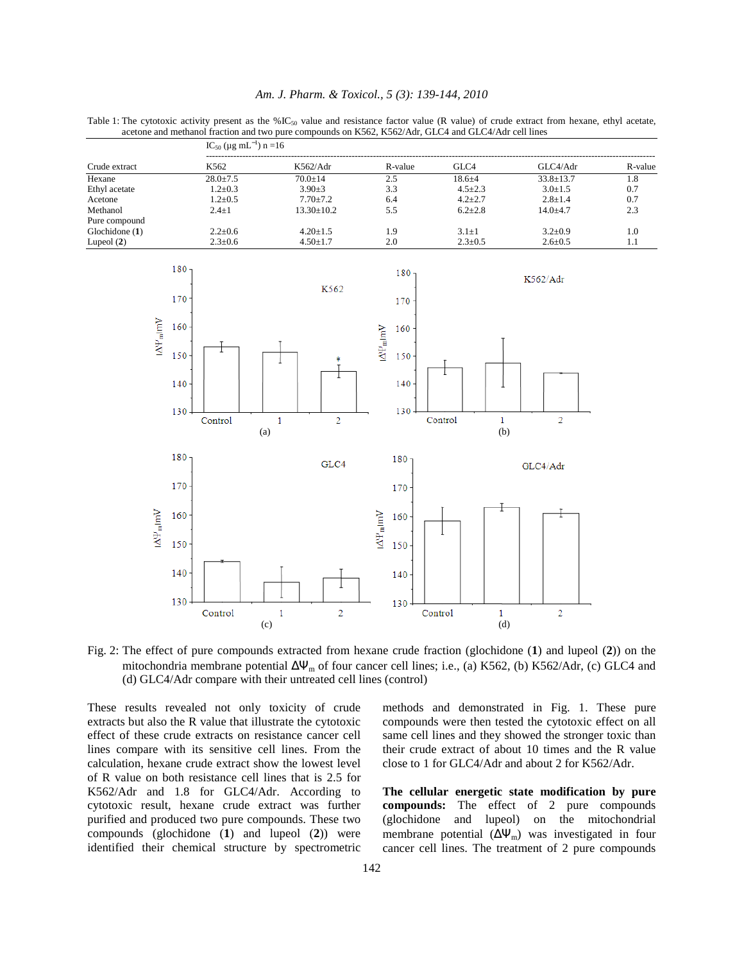|  |  |  |  | Am. J. Pharm. & Toxicol., 5 (3): 139-144, 2010 |  |  |  |  |
|--|--|--|--|------------------------------------------------|--|--|--|--|
|--|--|--|--|------------------------------------------------|--|--|--|--|

Table 1: The cytotoxic activity present as the %IC $_{50}$  value and resistance factor value (R value) of crude extract from hexane, ethyl acetate, acetone and methanol fraction and two pure compounds on K562, K562/Adr, GLC4 and GLC4/Adr cell lines

|                  | $IC_{50}$ (µg mL <sup>-1</sup> ) n =16 |                  |         |               |               |         |  |  |  |  |
|------------------|----------------------------------------|------------------|---------|---------------|---------------|---------|--|--|--|--|
| Crude extract    | K562                                   | K562/Adr         | R-value | GLC4          | GLC4/Adr      | R-value |  |  |  |  |
| Hexane           | $28.0 + 7.5$                           | $70.0 + 14$      | 2.5     | $18.6 + 4$    | $33.8 + 13.7$ | 1.8     |  |  |  |  |
| Ethyl acetate    | $1.2 \pm 0.3$                          | $3.90 + 3$       | 3.3     | $4.5 \pm 2.3$ | $3.0 \pm 1.5$ | 0.7     |  |  |  |  |
| Acetone          | $1.2 \pm 0.5$                          | $7.70 + 7.2$     | 6.4     | $4.2 \pm 2.7$ | $2.8 + 1.4$   | 0.7     |  |  |  |  |
| Methanol         | $2.4 \pm 1$                            | $13.30 \pm 10.2$ | 5.5     | $6.2 \pm 2.8$ | $14.0 + 4.7$  | 2.3     |  |  |  |  |
| Pure compound    |                                        |                  |         |               |               |         |  |  |  |  |
| Glochidone $(1)$ | $2.2 \pm 0.6$                          | $4.20 \pm 1.5$   | ۱.9     | $3.1 + 1$     | $3.2 + 0.9$   | 1.0     |  |  |  |  |
| Lupeol $(2)$     | $2.3 \pm 0.6$                          | $4.50 \pm 1.7$   | 2.0     | $2.3 \pm 0.5$ | $2.6 \pm 0.5$ | 1.1     |  |  |  |  |



Fig. 2: The effect of pure compounds extracted from hexane crude fraction (glochidone (**1**) and lupeol (**2**)) on the mitochondria membrane potential  $\Delta\Psi_m$  of four cancer cell lines; i.e., (a) K562, (b) K562/Adr, (c) GLC4 and (d) GLC4/Adr compare with their untreated cell lines (control)

These results revealed not only toxicity of crude extracts but also the R value that illustrate the cytotoxic effect of these crude extracts on resistance cancer cell lines compare with its sensitive cell lines. From the calculation, hexane crude extract show the lowest level of R value on both resistance cell lines that is 2.5 for K562/Adr and 1.8 for GLC4/Adr. According to cytotoxic result, hexane crude extract was further purified and produced two pure compounds. These two compounds (glochidone (**1**) and lupeol (**2**)) were identified their chemical structure by spectrometric methods and demonstrated in Fig. 1. These pure compounds were then tested the cytotoxic effect on all same cell lines and they showed the stronger toxic than their crude extract of about 10 times and the R value close to 1 for GLC4/Adr and about 2 for K562/Adr.

**The cellular energetic state modification by pure compounds:** The effect of 2 pure compounds (glochidone and lupeol) on the mitochondrial membrane potential  $(\Delta \Psi_m)$  was investigated in four cancer cell lines. The treatment of 2 pure compounds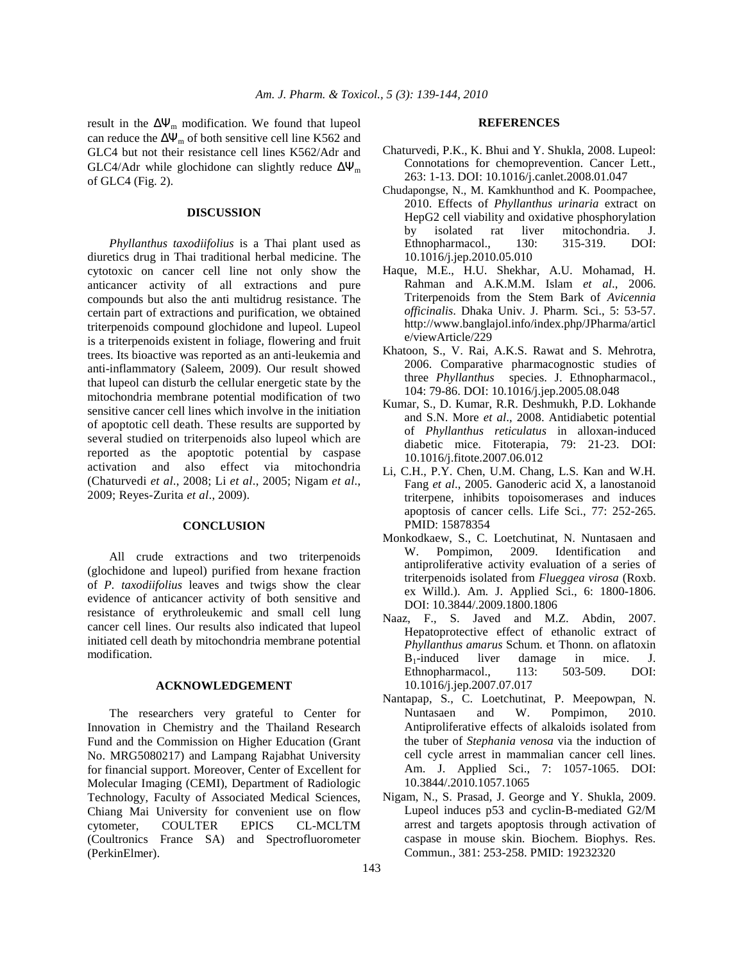result in the  $\Delta \Psi_{\rm m}$  modification. We found that lupeol can reduce the  $\Delta \Psi_m$  of both sensitive cell line K562 and GLC4 but not their resistance cell lines K562/Adr and GLC4/Adr while glochidone can slightly reduce  $\Delta \Psi_m$ of GLC4 (Fig. 2).

#### **DISCUSSION**

 *Phyllanthus taxodiifolius* is a Thai plant used as diuretics drug in Thai traditional herbal medicine. The cytotoxic on cancer cell line not only show the anticancer activity of all extractions and pure compounds but also the anti multidrug resistance. The certain part of extractions and purification, we obtained triterpenoids compound glochidone and lupeol. Lupeol is a triterpenoids existent in foliage, flowering and fruit trees. Its bioactive was reported as an anti-leukemia and anti-inflammatory (Saleem, 2009). Our result showed that lupeol can disturb the cellular energetic state by the mitochondria membrane potential modification of two sensitive cancer cell lines which involve in the initiation of apoptotic cell death. These results are supported by several studied on triterpenoids also lupeol which are reported as the apoptotic potential by caspase activation and also effect via mitochondria (Chaturvedi *et al*., 2008; Li *et al*., 2005; Nigam *et al*., 2009; Reyes-Zurita *et al*., 2009).

## **CONCLUSION**

 All crude extractions and two triterpenoids (glochidone and lupeol) purified from hexane fraction of *P. taxodiifolius* leaves and twigs show the clear evidence of anticancer activity of both sensitive and resistance of erythroleukemic and small cell lung cancer cell lines. Our results also indicated that lupeol initiated cell death by mitochondria membrane potential modification.

#### **ACKNOWLEDGEMENT**

 The researchers very grateful to Center for Innovation in Chemistry and the Thailand Research Fund and the Commission on Higher Education (Grant No. MRG5080217) and Lampang Rajabhat University for financial support. Moreover, Center of Excellent for Molecular Imaging (CEMI), Department of Radiologic Technology, Faculty of Associated Medical Sciences, Chiang Mai University for convenient use on flow cytometer, COULTER EPICS CL-MCLTM (Coultronics France SA) and Spectrofluorometer (PerkinElmer).

#### **REFERENCES**

- Chaturvedi, P.K., K. Bhui and Y. Shukla, 2008. Lupeol: Connotations for chemoprevention. Cancer Lett., 263: 1-13. DOI: 10.1016/j.canlet.2008.01.047
- Chudapongse, N., M. Kamkhunthod and K. Poompachee, 2010. Effects of *Phyllanthus urinaria* extract on HepG2 cell viability and oxidative phosphorylation by isolated rat liver mitochondria. J. Ethnopharmacol., 130: 315-319. DOI: 10.1016/j.jep.2010.05.010
- Haque, M.E., H.U. Shekhar, A.U. Mohamad, H. Rahman and A.K.M.M. Islam *et al*., 2006. Triterpenoids from the Stem Bark of *Avicennia officinalis*. Dhaka Univ. J. Pharm. Sci., 5: 53-57. http://www.banglajol.info/index.php/JPharma/articl e/viewArticle/229
- Khatoon, S., V. Rai, A.K.S. Rawat and S. Mehrotra, 2006. Comparative pharmacognostic studies of three *Phyllanthus* species. J. Ethnopharmacol., 104: 79-86. DOI: 10.1016/j.jep.2005.08.048
- Kumar, S., D. Kumar, R.R. Deshmukh, P.D. Lokhande and S.N. More *et al*., 2008. Antidiabetic potential of *Phyllanthus reticulatus* in alloxan-induced diabetic mice. Fitoterapia, 79: 21-23. DOI: 10.1016/j.fitote.2007.06.012
- Li, C.H., P.Y. Chen, U.M. Chang, L.S. Kan and W.H. Fang *et al*., 2005. Ganoderic acid X, a lanostanoid triterpene, inhibits topoisomerases and induces apoptosis of cancer cells. Life Sci., 77: 252-265. PMID: 15878354
- Monkodkaew, S., C. Loetchutinat, N. Nuntasaen and W. Pompimon, 2009. Identification and antiproliferative activity evaluation of a series of triterpenoids isolated from *Flueggea virosa* (Roxb. ex Willd.). Am. J. Applied Sci., 6: 1800-1806. DOI: 10.3844/.2009.1800.1806
- Naaz, F., S. Javed and M.Z. Abdin, 2007. Hepatoprotective effect of ethanolic extract of *Phyllanthus amarus* Schum. et Thonn. on aflatoxin  $B_1$ -induced liver damage in mice. J.<br>Ethnopharmacol., 113: 503-509. DOI: Ethnopharmacol., 113: 10.1016/j.jep.2007.07.017
- Nantapap, S., C. Loetchutinat, P. Meepowpan, N. Nuntasaen and W. Pompimon, 2010. Antiproliferative effects of alkaloids isolated from the tuber of *Stephania venosa* via the induction of cell cycle arrest in mammalian cancer cell lines. Am. J. Applied Sci., 7: 1057-1065. DOI: 10.3844/.2010.1057.1065
- Nigam, N., S. Prasad, J. George and Y. Shukla, 2009. Lupeol induces p53 and cyclin-B-mediated G2/M arrest and targets apoptosis through activation of caspase in mouse skin. Biochem. Biophys. Res. Commun., 381: 253-258. PMID: 19232320